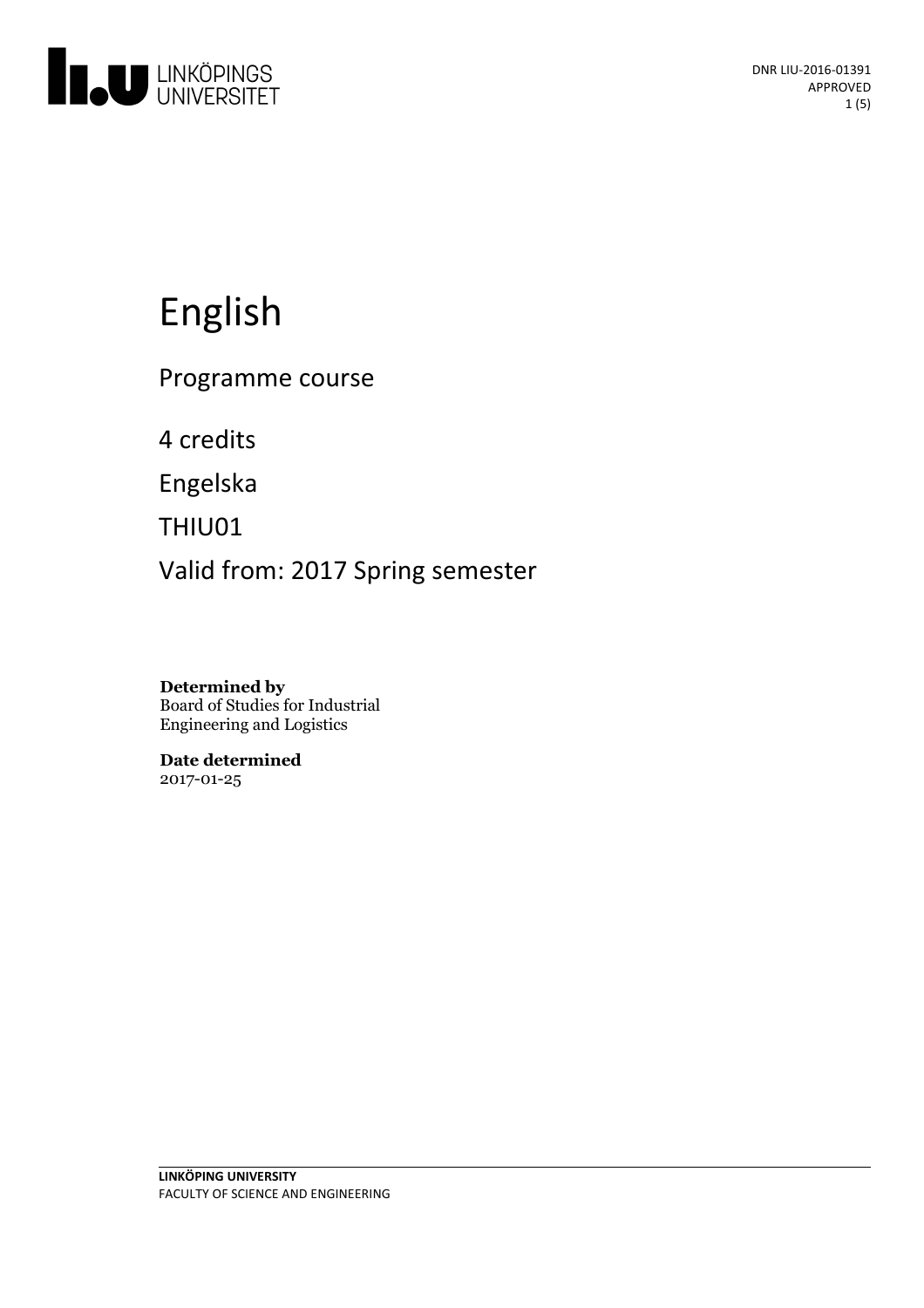

# English

Programme course

4 credits

Engelska

THIU01

Valid from: 2017 Spring semester

**Determined by** Board of Studies for Industrial Engineering and Logistics

**Date determined** 2017-01-25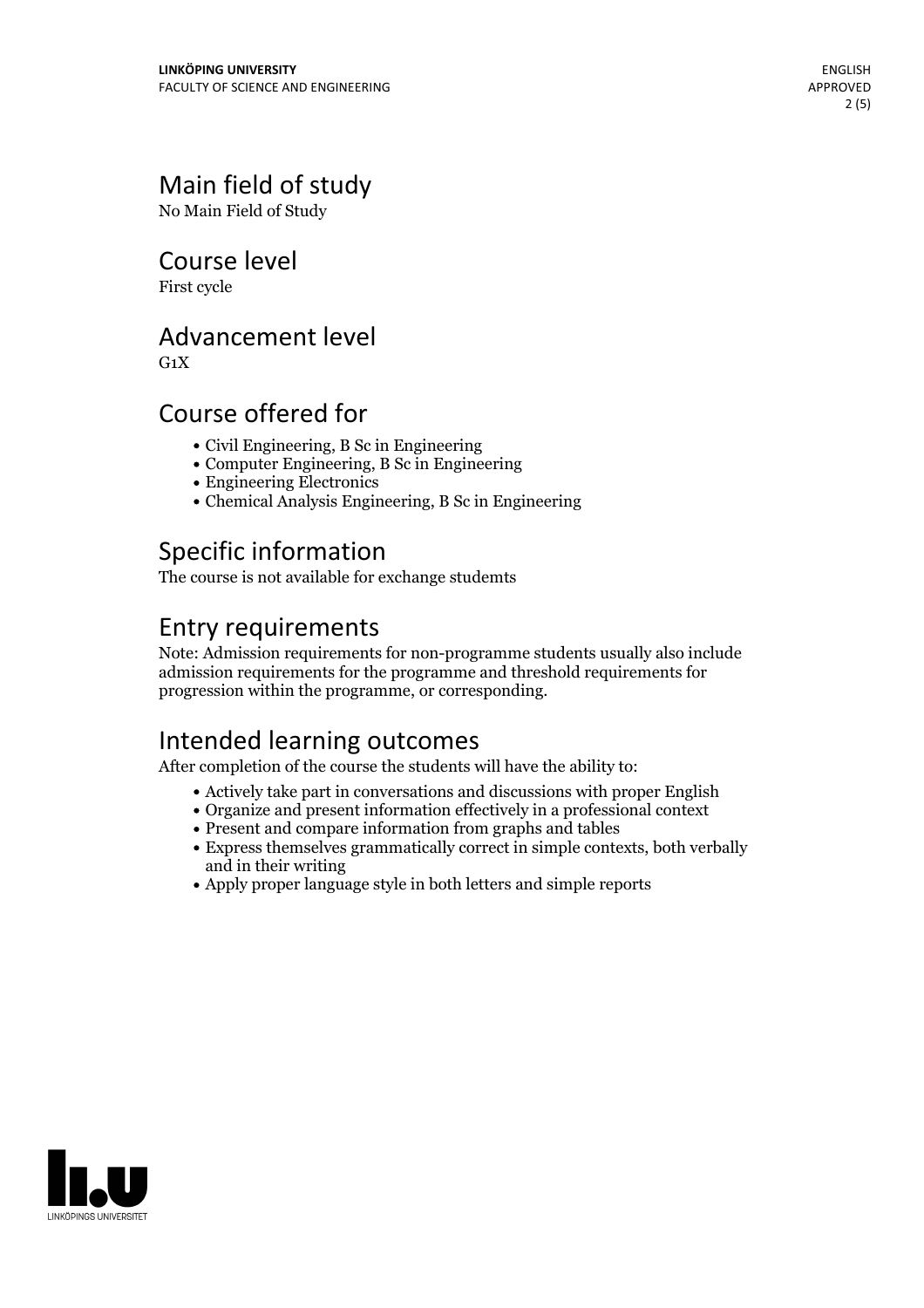# Main field of study

No Main Field of Study

### Course level

First cycle

### Advancement level

 $G_1X$ 

### Course offered for

- Civil Engineering, B Sc in Engineering
- Computer Engineering, B Sc in Engineering
- Engineering Electronics
- Chemical Analysis Engineering, B Sc in Engineering

# Specific information

The course is not available for exchange studemts

### Entry requirements

Note: Admission requirements for non-programme students usually also include admission requirements for the programme and threshold requirements for progression within the programme, or corresponding.

# Intended learning outcomes

After completion of the course the students will have the ability to:

- Actively take part in conversations and discussions with proper English
- Organize and present information effectively in a professional context
- Present and compare information from graphs and tables
- Express themselves grammatically correct in simple contexts, both verbally and in their writing
- Apply proper language style in both letters and simple reports

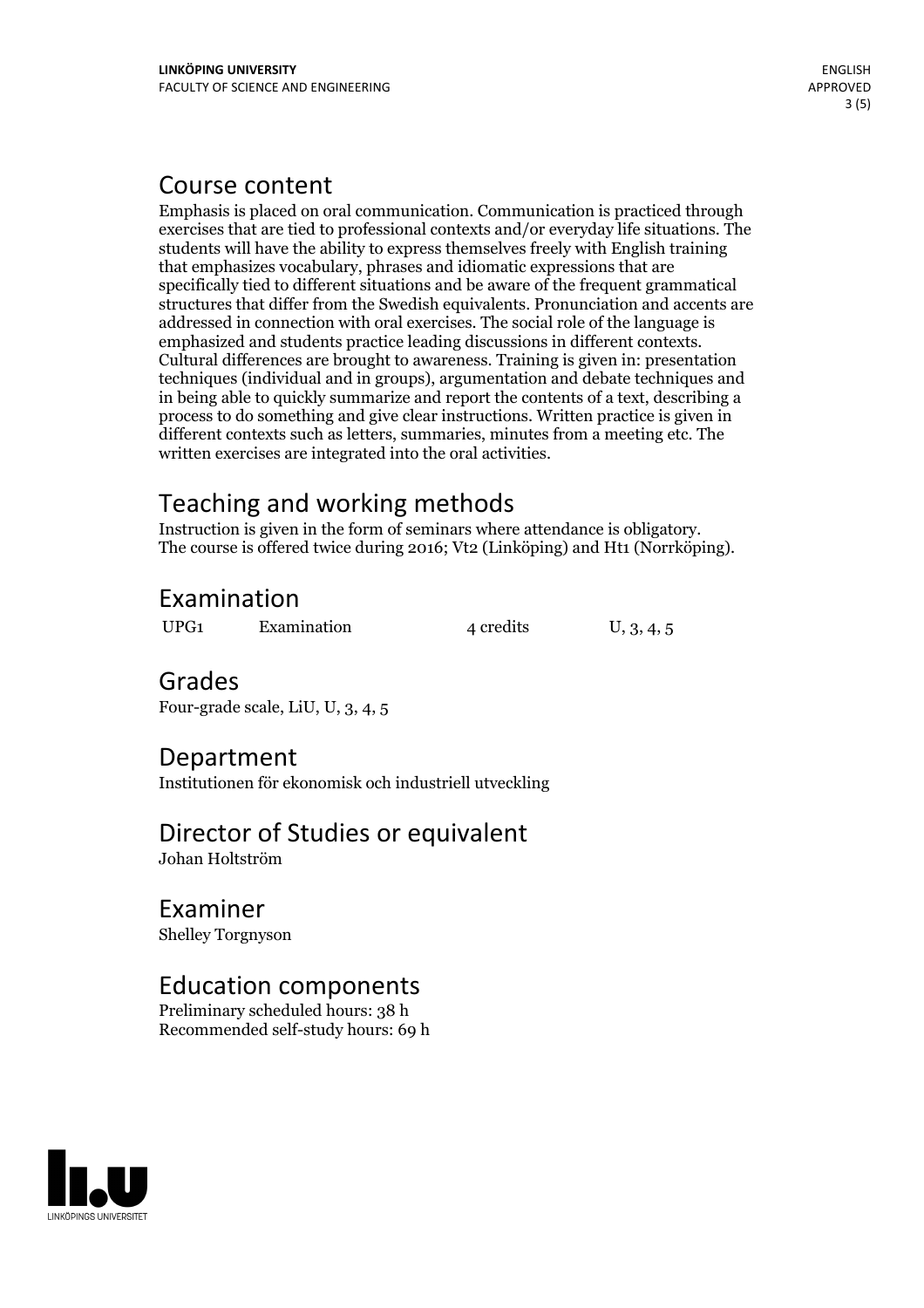## Course content

Emphasis is placed on oral communication. Communication is practiced through exercises that are tied to professional contexts and/or everyday life situations. The students will have the ability to express themselves freely with English training that emphasizes vocabulary, phrases and idiomatic expressions that are specifically tied to different situations and be aware of the frequent grammatical structures that differ from the Swedish equivalents. Pronunciation and accents are addressed in connection with oral exercises. The social role of the language is emphasized and students practice leading discussions in different contexts. Cultural differences are brought to awareness. Training is given in: presentation techniques (individual and in groups), argumentation and debate techniques and in being able to quickly summarize and report the contents of a text, describing a process to do something and give clear instructions. Written practice is given in different contexts such as letters, summaries, minutes from a meeting etc. The written exercises are integrated into the oral activities.

Teaching and working methods<br>Instruction is given in the form of seminars where attendance is obligatory. The course is offered twice during 2016; Vt2 (Linköping) and Ht1 (Norrköping).

# Examination

UPG1 Examination 4 credits U, 3, 4, 5

### Grades

Four-grade scale, LiU, U, 3, 4, 5

# Department

Institutionen för ekonomisk och industriell utveckling

# Director of Studies or equivalent

Johan Holtström

### Examiner

Shelley Torgnyson

### Education components

Preliminary scheduled hours: 38 h Recommended self-study hours: 69 h

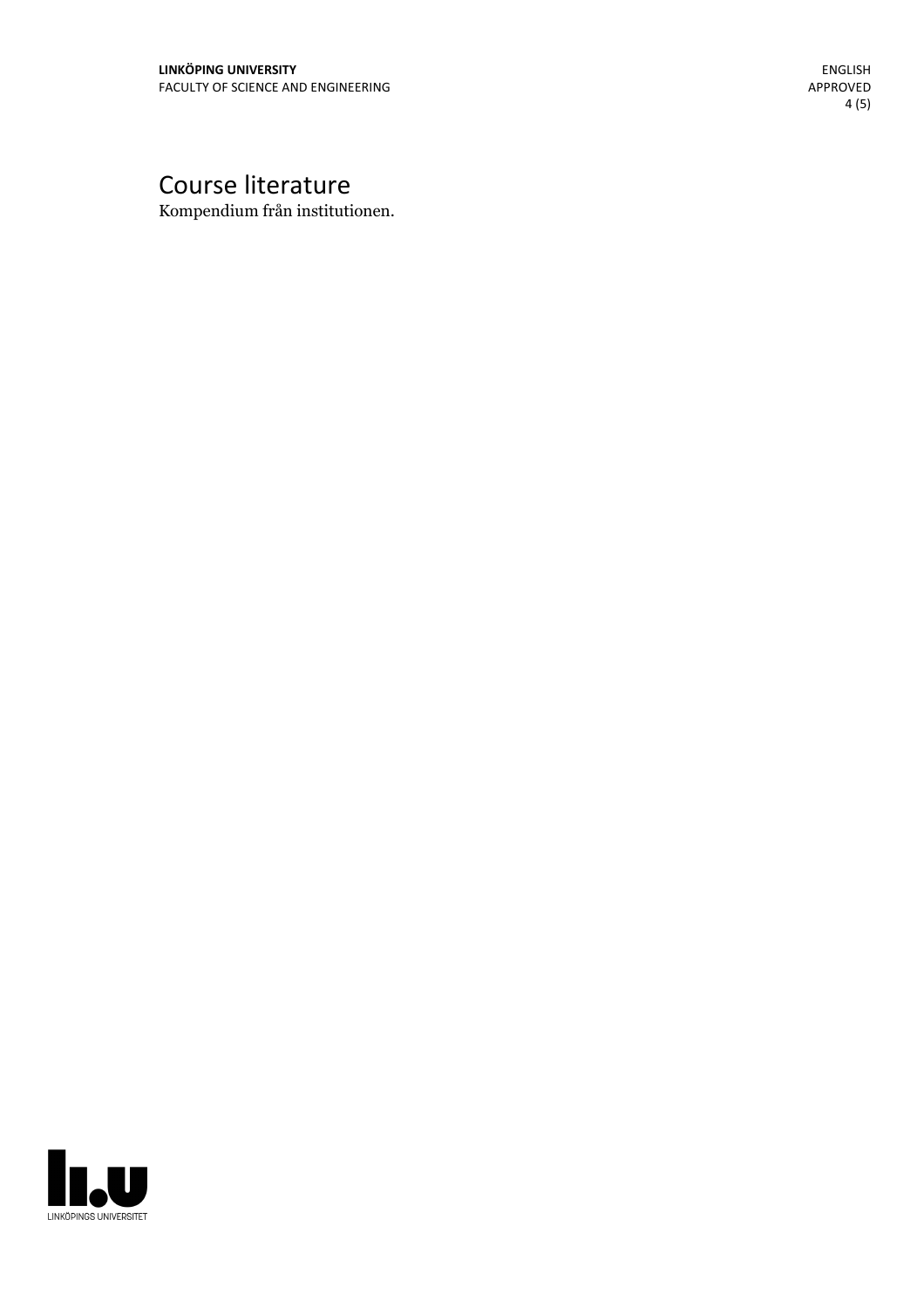